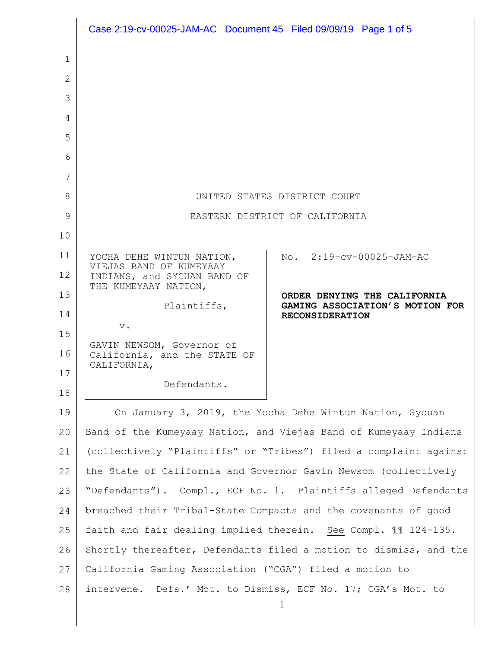|              | Case 2:19-cv-00025-JAM-AC Document 45 Filed 09/09/19 Page 1 of 5         |                                                           |
|--------------|--------------------------------------------------------------------------|-----------------------------------------------------------|
| 1            |                                                                          |                                                           |
| $\mathbf{2}$ |                                                                          |                                                           |
| 3            |                                                                          |                                                           |
| 4            |                                                                          |                                                           |
| 5            |                                                                          |                                                           |
| 6            |                                                                          |                                                           |
| 7            |                                                                          |                                                           |
| 8            | UNITED STATES DISTRICT COURT                                             |                                                           |
| 9            | EASTERN DISTRICT OF CALIFORNIA                                           |                                                           |
| 10           |                                                                          |                                                           |
| 11           | YOCHA DEHE WINTUN NATION,                                                | No. 2:19-cv-00025-JAM-AC                                  |
| 12           | VIEJAS BAND OF KUMEYAAY<br>INDIANS, and SYCUAN BAND OF                   |                                                           |
| 13           | THE KUMEYAAY NATION,                                                     | ORDER DENYING THE CALIFORNIA                              |
| 14           | Plaintiffs,                                                              | GAMING ASSOCIATION'S MOTION FOR<br><b>RECONSIDERATION</b> |
| 15           | $\mathbf v$ .                                                            |                                                           |
| 16           | GAVIN NEWSOM, Governor of<br>California, and the STATE OF<br>CALIFORNIA, |                                                           |
| 17           | Defendants.                                                              |                                                           |
| 18           |                                                                          |                                                           |
| 19           | On January 3, 2019, the Yocha Dehe Wintun Nation, Sycuan                 |                                                           |
| 20           | Band of the Kumeyaay Nation, and Viejas Band of Kumeyaay Indians         |                                                           |
| 21           | (collectively "Plaintiffs" or "Tribes") filed a complaint against        |                                                           |
| 22           | the State of California and Governor Gavin Newsom (collectively          |                                                           |
| 23           | "Defendants"). Compl., ECF No. 1. Plaintiffs alleged Defendants          |                                                           |
| 24           | breached their Tribal-State Compacts and the covenants of good           |                                                           |
| 25           | faith and fair dealing implied therein. See Compl. II 124-135.           |                                                           |
| 26           | Shortly thereafter, Defendants filed a motion to dismiss, and the        |                                                           |
| 27           | California Gaming Association ("CGA") filed a motion to                  |                                                           |
| 28           | intervene. Defs.' Mot. to Dismiss, ECF No. 17; CGA's Mot. to             |                                                           |
|              |                                                                          | 1                                                         |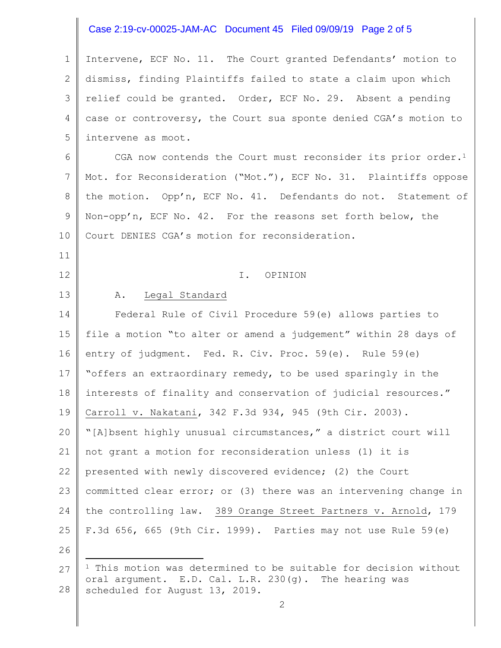# Case 2:19-cv-00025-JAM-AC Document 45 Filed 09/09/19 Page 2 of 5

1 2 3 4 5 Intervene, ECF No. 11. The Court granted Defendants' motion to dismiss, finding Plaintiffs failed to state a claim upon which relief could be granted. Order, ECF No. 29. Absent a pending case or controversy, the Court sua sponte denied CGA's motion to intervene as moot.

6 7 8 9 10 CGA now contends the Court must reconsider its prior order.<sup>1</sup> Mot. for Reconsideration ("Mot."), ECF No. 31. Plaintiffs oppose the motion. Opp'n, ECF No. 41. Defendants do not. Statement of Non-opp'n, ECF No. 42. For the reasons set forth below, the Court DENIES CGA's motion for reconsideration.

#### I. OPINION

#### A. Legal Standard

14 15 16 17 18 19 20 21 22 23 24 25 Federal Rule of Civil Procedure 59(e) allows parties to file a motion "to alter or amend a judgement" within 28 days of entry of judgment. Fed. R. Civ. Proc. 59(e). Rule 59(e) "offers an extraordinary remedy, to be used sparingly in the interests of finality and conservation of judicial resources." Carroll v. Nakatani, 342 F.3d 934, 945 (9th Cir. 2003). "[A]bsent highly unusual circumstances," a district court will not grant a motion for reconsideration unless (1) it is presented with newly discovered evidence; (2) the Court committed clear error; or (3) there was an intervening change in the controlling law. 389 Orange Street Partners v. Arnold, 179 F.3d 656, 665 (9th Cir. 1999). Parties may not use Rule 59(e)

26

L,

11

12

13

<sup>27</sup> 28 <sup>1</sup> This motion was determined to be suitable for decision without oral argument. E.D. Cal. L.R. 230(g). The hearing was scheduled for August 13, 2019.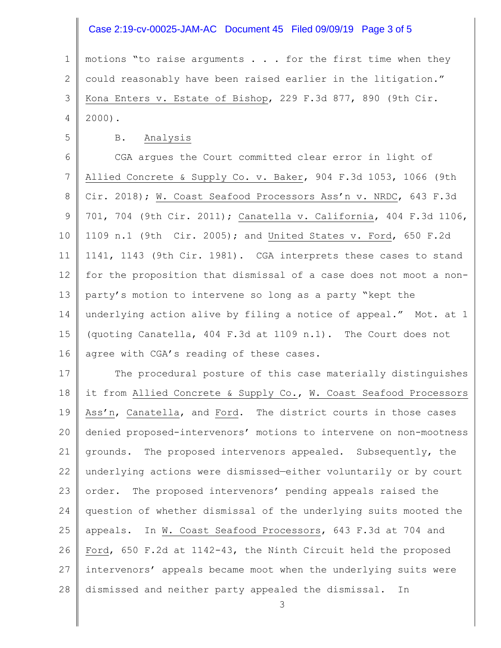# Case 2:19-cv-00025-JAM-AC Document 45 Filed 09/09/19 Page 3 of 5

1 2 3 4 motions "to raise arguments . . . for the first time when they could reasonably have been raised earlier in the litigation." Kona Enters v. Estate of Bishop, 229 F.3d 877, 890 (9th Cir. 2000).

5

#### B. Analysis

6 7 8 9 10 11 12 13 14 15 16 CGA argues the Court committed clear error in light of Allied Concrete & Supply Co. v. Baker, 904 F.3d 1053, 1066 (9th Cir. 2018); W. Coast Seafood Processors Ass'n v. NRDC, 643 F.3d 701, 704 (9th Cir. 2011); Canatella v. California, 404 F.3d 1106, 1109 n.1 (9th Cir. 2005); and United States v. Ford, 650 F.2d 1141, 1143 (9th Cir. 1981). CGA interprets these cases to stand for the proposition that dismissal of a case does not moot a nonparty's motion to intervene so long as a party "kept the underlying action alive by filing a notice of appeal." Mot. at 1 (quoting Canatella, 404 F.3d at 1109 n.1). The Court does not agree with CGA's reading of these cases.

17 18 19 20 21 22 23 24 25 26 27 28 The procedural posture of this case materially distinguishes it from Allied Concrete & Supply Co., W. Coast Seafood Processors Ass'n, Canatella, and Ford. The district courts in those cases denied proposed-intervenors' motions to intervene on non-mootness grounds. The proposed intervenors appealed. Subsequently, the underlying actions were dismissed—either voluntarily or by court order. The proposed intervenors' pending appeals raised the question of whether dismissal of the underlying suits mooted the appeals. In W. Coast Seafood Processors, 643 F.3d at 704 and Ford, 650 F.2d at 1142-43, the Ninth Circuit held the proposed intervenors' appeals became moot when the underlying suits were dismissed and neither party appealed the dismissal. In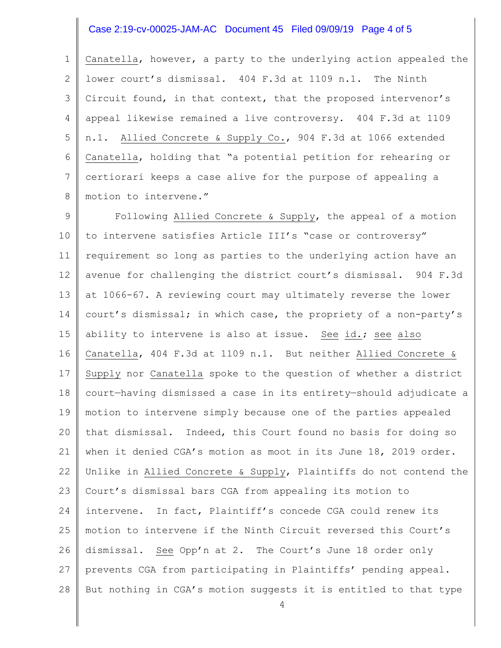# Case 2:19-cv-00025-JAM-AC Document 45 Filed 09/09/19 Page 4 of 5

1 2 3 4 5 6 7 8 Canatella, however, a party to the underlying action appealed the lower court's dismissal. 404 F.3d at 1109 n.1. The Ninth Circuit found, in that context, that the proposed intervenor's appeal likewise remained a live controversy. 404 F.3d at 1109 n.1. Allied Concrete & Supply Co., 904 F.3d at 1066 extended Canatella, holding that "a potential petition for rehearing or certiorari keeps a case alive for the purpose of appealing a motion to intervene."

9 10 11 12 13 14 15 16 17 18 19 20 21 22 23 24 25 26 27 28 Following Allied Concrete & Supply, the appeal of a motion to intervene satisfies Article III's "case or controversy" requirement so long as parties to the underlying action have an avenue for challenging the district court's dismissal. 904 F.3d at 1066-67. A reviewing court may ultimately reverse the lower court's dismissal; in which case, the propriety of a non-party's ability to intervene is also at issue. See id.; see also Canatella, 404 F.3d at 1109 n.1. But neither Allied Concrete & Supply nor Canatella spoke to the question of whether a district court—having dismissed a case in its entirety—should adjudicate a motion to intervene simply because one of the parties appealed that dismissal. Indeed, this Court found no basis for doing so when it denied CGA's motion as moot in its June 18, 2019 order. Unlike in Allied Concrete & Supply, Plaintiffs do not contend the Court's dismissal bars CGA from appealing its motion to intervene. In fact, Plaintiff's concede CGA could renew its motion to intervene if the Ninth Circuit reversed this Court's dismissal. See Opp'n at 2. The Court's June 18 order only prevents CGA from participating in Plaintiffs' pending appeal. But nothing in CGA's motion suggests it is entitled to that type